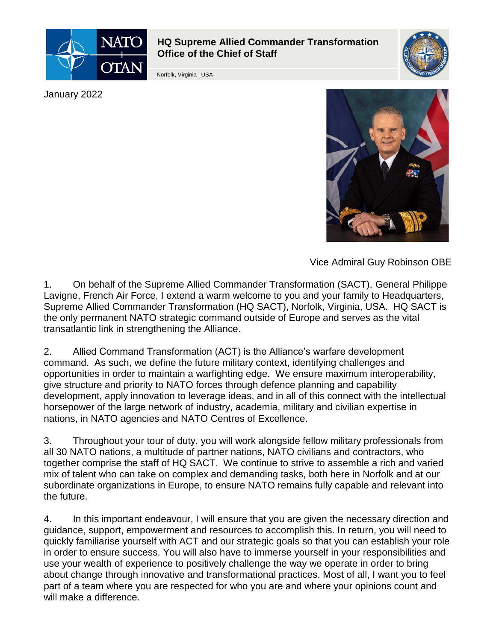

## **HQ Supreme Allied Commander Transformation Office of the Chief of Staff**

Norfolk, Virginia | USA



January 2022



Vice Admiral Guy Robinson OBE

1. On behalf of the Supreme Allied Commander Transformation (SACT), General Philippe Lavigne, French Air Force, I extend a warm welcome to you and your family to Headquarters, Supreme Allied Commander Transformation (HQ SACT), Norfolk, Virginia, USA. HQ SACT is the only permanent NATO strategic command outside of Europe and serves as the vital transatlantic link in strengthening the Alliance.

2. Allied Command Transformation (ACT) is the Alliance's warfare development command. As such, we define the future military context, identifying challenges and opportunities in order to maintain a warfighting edge. We ensure maximum interoperability, give structure and priority to NATO forces through defence planning and capability development, apply innovation to leverage ideas, and in all of this connect with the intellectual horsepower of the large network of industry, academia, military and civilian expertise in nations, in NATO agencies and NATO Centres of Excellence.

3. Throughout your tour of duty, you will work alongside fellow military professionals from all 30 NATO nations, a multitude of partner nations, NATO civilians and contractors, who together comprise the staff of HQ SACT. We continue to strive to assemble a rich and varied mix of talent who can take on complex and demanding tasks, both here in Norfolk and at our subordinate organizations in Europe, to ensure NATO remains fully capable and relevant into the future.

4. In this important endeavour, I will ensure that you are given the necessary direction and guidance, support, empowerment and resources to accomplish this. In return, you will need to quickly familiarise yourself with ACT and our strategic goals so that you can establish your role in order to ensure success. You will also have to immerse yourself in your responsibilities and use your wealth of experience to positively challenge the way we operate in order to bring about change through innovative and transformational practices. Most of all, I want you to feel part of a team where you are respected for who you are and where your opinions count and will make a difference.